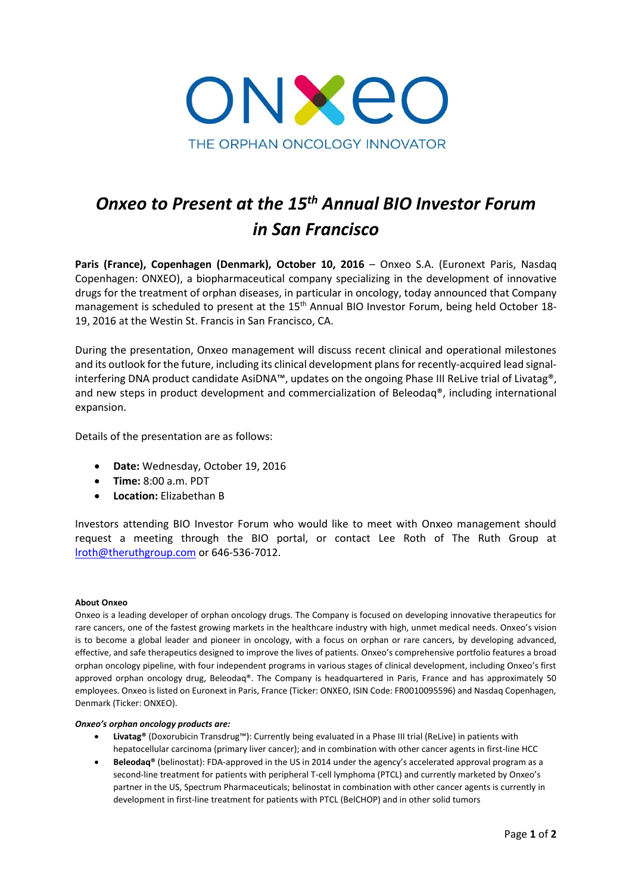

# *Onxeo to Present at the 15th Annual BIO Investor Forum in San Francisco*

**Paris (France), Copenhagen (Denmark), October 10, 2016** – Onxeo S.A. (Euronext Paris, Nasdaq Copenhagen: ONXEO), a biopharmaceutical company specializing in the development of innovative drugs for the treatment of orphan diseases, in particular in oncology, today announced that Company management is scheduled to present at the 15<sup>th</sup> Annual BIO Investor Forum, being held October 18-19, 2016 at the Westin St. Francis in San Francisco, CA.

During the presentation, Onxeo management will discuss recent clinical and operational milestones and its outlook for the future, including its clinical development plans for recently-acquired lead signalinterfering DNA product candidate AsiDNA™, updates on the ongoing Phase III ReLive trial of Livatag®, and new steps in product development and commercialization of Beleodaq®, including international expansion.

Details of the presentation are as follows:

- **Date:** Wednesday, October 19, 2016
- **Time:** 8:00 a.m. PDT
- **Location:** Elizabethan B

Investors attending BIO Investor Forum who would like to meet with Onxeo management should request a meeting through the BIO portal, or contact Lee Roth of The Ruth Group at [lroth@theruthgroup.com](mailto:lroth@theruthgroup.com) or 646-536-7012.

# **About Onxeo**

Onxeo is a leading developer of orphan oncology drugs. The Company is focused on developing innovative therapeutics for rare cancers, one of the fastest growing markets in the healthcare industry with high, unmet medical needs. Onxeo's vision is to become a global leader and pioneer in oncology, with a focus on orphan or rare cancers, by developing advanced, effective, and safe therapeutics designed to improve the lives of patients. Onxeo's comprehensive portfolio features a broad orphan oncology pipeline, with four independent programs in various stages of clinical development, including Onxeo's first approved orphan oncology drug, Beleodaq®. The Company is headquartered in Paris, France and has approximately 50 employees. Onxeo is listed on Euronext in Paris, France (Ticker: ONXEO, ISIN Code: FR0010095596) and Nasdaq Copenhagen, Denmark (Ticker: ONXEO).

## *Onxeo's orphan oncology products are:*

- **Livatag®** (Doxorubicin Transdrug™): Currently being evaluated in a Phase III trial (ReLive) in patients with hepatocellular carcinoma (primary liver cancer); and in combination with other cancer agents in first-line HCC
- **Beleodaq®** (belinostat): FDA-approved in the US in 2014 under the agency's accelerated approval program as a second-line treatment for patients with peripheral T-cell lymphoma (PTCL) and currently marketed by Onxeo's partner in the US, Spectrum Pharmaceuticals; belinostat in combination with other cancer agents is currently in development in first-line treatment for patients with PTCL (BelCHOP) and in other solid tumors